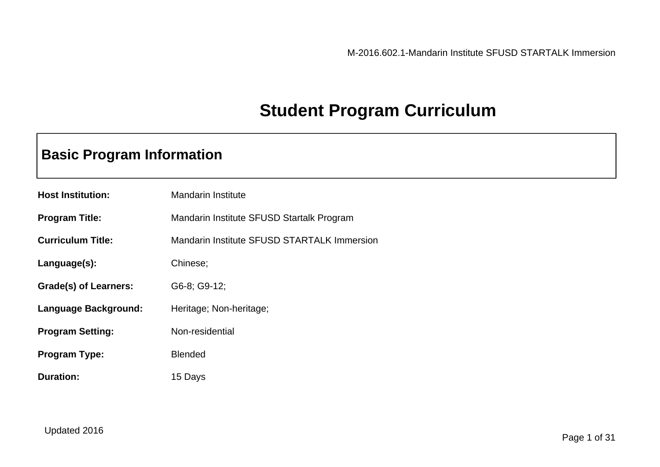# **Student Program Curriculum**

# **Basic Program Information**

| <b>Host Institution:</b> | <b>Mandarin Institute</b>                          |
|--------------------------|----------------------------------------------------|
| <b>Program Title:</b>    | Mandarin Institute SFUSD Startalk Program          |
| <b>Curriculum Title:</b> | <b>Mandarin Institute SFUSD STARTALK Immersion</b> |
| Language(s):             | Chinese;                                           |
| Grade(s) of Learners:    | G6-8; G9-12;                                       |
| Language Background:     | Heritage; Non-heritage;                            |
| <b>Program Setting:</b>  | Non-residential                                    |
| <b>Program Type:</b>     | <b>Blended</b>                                     |
| <b>Duration:</b>         | 15 Days                                            |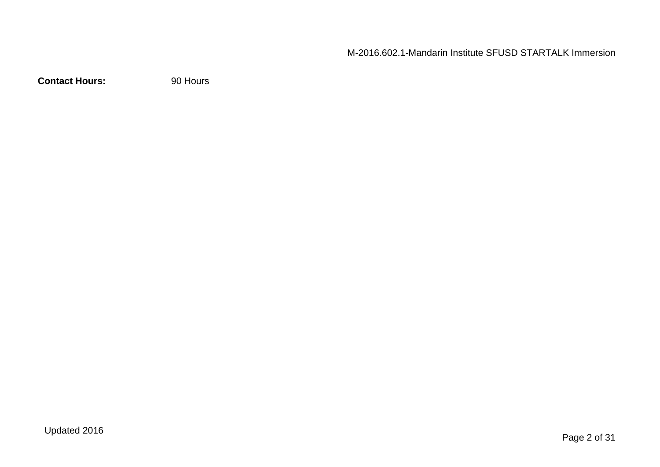**Contact Hours:** 90 Hours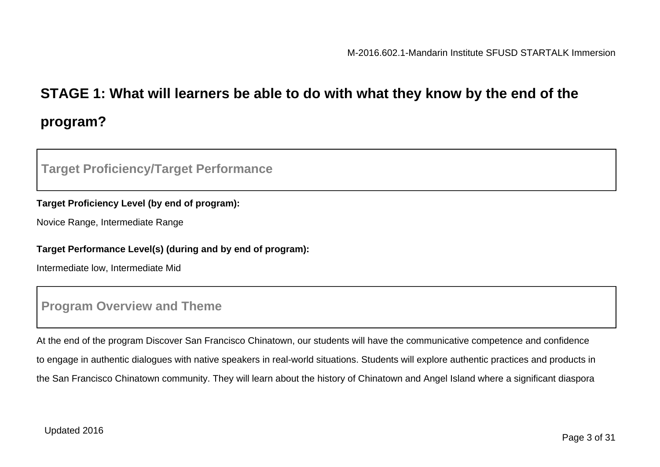# **STAGE 1: What will learners be able to do with what they know by the end of the program?**

# **Target Proficiency/Target Performance**

#### **Target Proficiency Level (by end of program):**

Novice Range, Intermediate Range

#### **Target Performance Level(s) (during and by end of program):**

Intermediate low, Intermediate Mid

# **Program Overview and Theme**

At the end of the program Discover San Francisco Chinatown, our students will have the communicative competence and confidence to engage in authentic dialogues with native speakers in real-world situations. Students will explore authentic practices and products in the San Francisco Chinatown community. They will learn about the history of Chinatown and Angel Island where a significant diaspora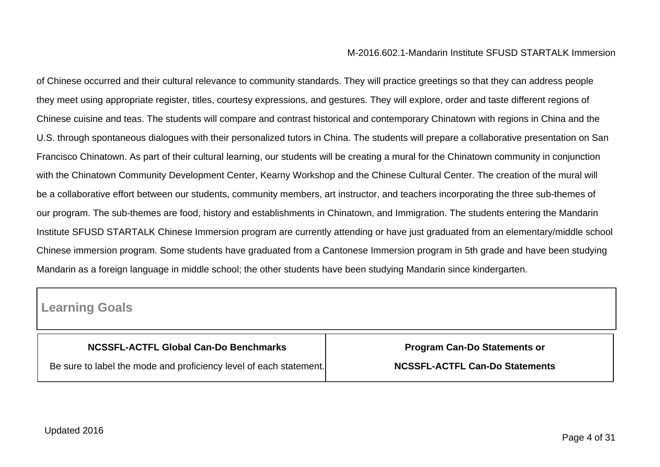of Chinese occurred and their cultural relevance to community standards. They will practice greetings so that they can address people they meet using appropriate register, titles, courtesy expressions, and gestures. They will explore, order and taste different regions of Chinese cuisine and teas. The students will compare and contrast historical and contemporary Chinatown with regions in China and the U.S. through spontaneous dialogues with their personalized tutors in China. The students will prepare a collaborative presentation on San Francisco Chinatown. As part of their cultural learning, our students will be creating a mural for the Chinatown community in conjunction with the Chinatown Community Development Center, Kearny Workshop and the Chinese Cultural Center. The creation of the mural will be a collaborative effort between our students, community members, art instructor, and teachers incorporating the three sub-themes of our program. The sub-themes are food, history and establishments in Chinatown, and Immigration. The students entering the Mandarin Institute SFUSD STARTALK Chinese Immersion program are currently attending or have just graduated from an elementary/middle school Chinese immersion program. Some students have graduated from a Cantonese Immersion program in 5th grade and have been studying Mandarin as a foreign language in middle school; the other students have been studying Mandarin since kindergarten.

# **Learning Goals**

| <b>NCSSFL-ACTFL Global Can-Do Benchmarks</b>                       | <b>Program Can-Do Statements or</b>   |
|--------------------------------------------------------------------|---------------------------------------|
| Be sure to label the mode and proficiency level of each statement. | <b>NCSSFL-ACTFL Can-Do Statements</b> |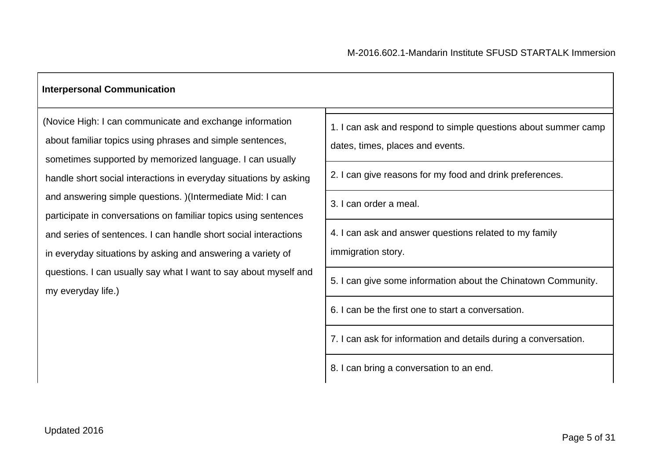#### **Interpersonal Communication**

(Novice High: I can communicate and exchange information about familiar topics using phrases and simple sentences, sometimes supported by memorized language. I can usually handle short social interactions in everyday situations by asking and answering simple questions. )(Intermediate Mid: I can participate in conversations on familiar topics using sentences and series of sentences. I can handle short social interactions in everyday situations by asking and answering a variety of questions. I can usually say what I want to say about myself and my everyday life.)

|    | 1. I can ask and respond to simple questions about summer camp<br>dates, times, places and events. |
|----|----------------------------------------------------------------------------------------------------|
|    | 2. I can give reasons for my food and drink preferences.                                           |
|    | 3. I can order a meal.                                                                             |
|    | 4. I can ask and answer questions related to my family<br>immigration story.                       |
| ıd | 5. I can give some information about the Chinatown Community.                                      |
|    | 6. I can be the first one to start a conversation.                                                 |
|    | 7. I can ask for information and details during a conversation.                                    |
|    | 8. I can bring a conversation to an end.                                                           |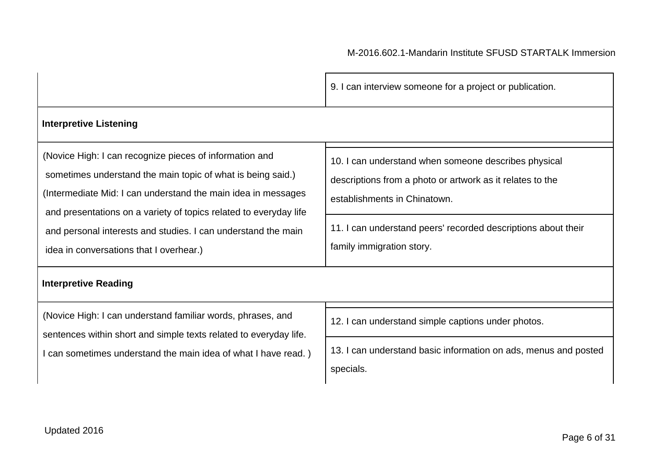|                                                                                                                                                                                                                                                                                                                                                                          | 9. I can interview someone for a project or publication.                                                                                                                                                                                        |
|--------------------------------------------------------------------------------------------------------------------------------------------------------------------------------------------------------------------------------------------------------------------------------------------------------------------------------------------------------------------------|-------------------------------------------------------------------------------------------------------------------------------------------------------------------------------------------------------------------------------------------------|
| <b>Interpretive Listening</b>                                                                                                                                                                                                                                                                                                                                            |                                                                                                                                                                                                                                                 |
| (Novice High: I can recognize pieces of information and<br>sometimes understand the main topic of what is being said.)<br>(Intermediate Mid: I can understand the main idea in messages<br>and presentations on a variety of topics related to everyday life<br>and personal interests and studies. I can understand the main<br>idea in conversations that I overhear.) | 10. I can understand when someone describes physical<br>descriptions from a photo or artwork as it relates to the<br>establishments in Chinatown.<br>11. I can understand peers' recorded descriptions about their<br>family immigration story. |
| <b>Interpretive Reading</b>                                                                                                                                                                                                                                                                                                                                              |                                                                                                                                                                                                                                                 |
| (Novice High: I can understand familiar words, phrases, and<br>sentences within short and simple texts related to everyday life.<br>I can sometimes understand the main idea of what I have read.)                                                                                                                                                                       | 12. I can understand simple captions under photos.                                                                                                                                                                                              |
|                                                                                                                                                                                                                                                                                                                                                                          | 13. I can understand basic information on ads, menus and posted<br>specials.                                                                                                                                                                    |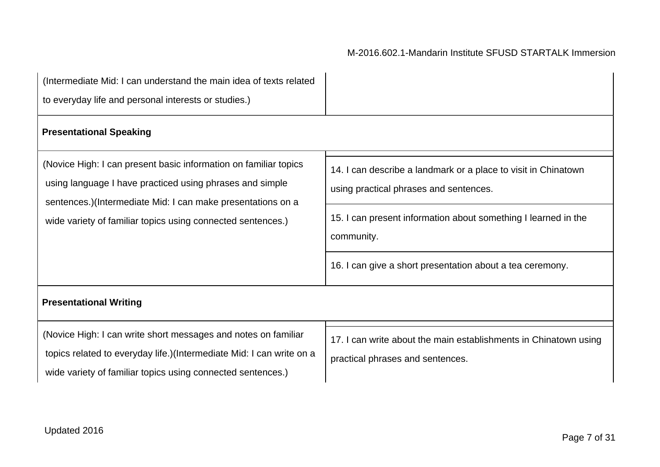| (Intermediate Mid: I can understand the main idea of texts related<br>to everyday life and personal interests or studies.)                                                                            |                                                                                                          |
|-------------------------------------------------------------------------------------------------------------------------------------------------------------------------------------------------------|----------------------------------------------------------------------------------------------------------|
| <b>Presentational Speaking</b>                                                                                                                                                                        |                                                                                                          |
| (Novice High: I can present basic information on familiar topics<br>using language I have practiced using phrases and simple<br>sentences.)(Intermediate Mid: I can make presentations on a           | 14. I can describe a landmark or a place to visit in Chinatown<br>using practical phrases and sentences. |
| wide variety of familiar topics using connected sentences.)                                                                                                                                           | 15. I can present information about something I learned in the<br>community.                             |
|                                                                                                                                                                                                       | 16. I can give a short presentation about a tea ceremony.                                                |
| <b>Presentational Writing</b>                                                                                                                                                                         |                                                                                                          |
| (Novice High: I can write short messages and notes on familiar<br>topics related to everyday life.)(Intermediate Mid: I can write on a<br>wide variety of familiar topics using connected sentences.) | 17. I can write about the main establishments in Chinatown using<br>practical phrases and sentences.     |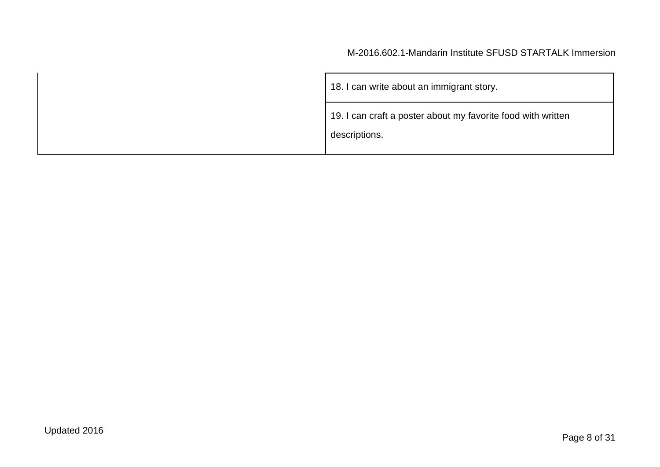| 18. I can write about an immigrant story.                                     |
|-------------------------------------------------------------------------------|
| 19. I can craft a poster about my favorite food with written<br>descriptions. |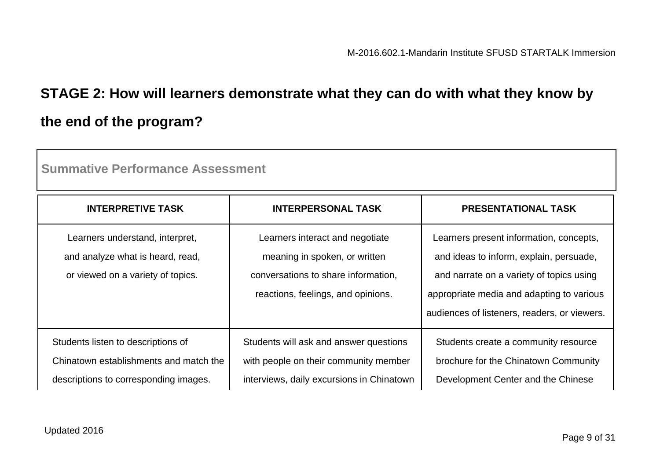# **STAGE 2: How will learners demonstrate what they can do with what they know by the end of the program?**

| <b>Summative Performance Assessment</b>                                                                               |                                                                                                                                               |                                                                                                                                                                                                                             |  |
|-----------------------------------------------------------------------------------------------------------------------|-----------------------------------------------------------------------------------------------------------------------------------------------|-----------------------------------------------------------------------------------------------------------------------------------------------------------------------------------------------------------------------------|--|
| <b>INTERPRETIVE TASK</b>                                                                                              | <b>INTERPERSONAL TASK</b>                                                                                                                     | <b>PRESENTATIONAL TASK</b>                                                                                                                                                                                                  |  |
| Learners understand, interpret,<br>and analyze what is heard, read,<br>or viewed on a variety of topics.              | Learners interact and negotiate<br>meaning in spoken, or written<br>conversations to share information,<br>reactions, feelings, and opinions. | Learners present information, concepts,<br>and ideas to inform, explain, persuade,<br>and narrate on a variety of topics using<br>appropriate media and adapting to various<br>audiences of listeners, readers, or viewers. |  |
| Students listen to descriptions of<br>Chinatown establishments and match the<br>descriptions to corresponding images. | Students will ask and answer questions<br>with people on their community member<br>interviews, daily excursions in Chinatown                  | Students create a community resource<br>brochure for the Chinatown Community<br>Development Center and the Chinese                                                                                                          |  |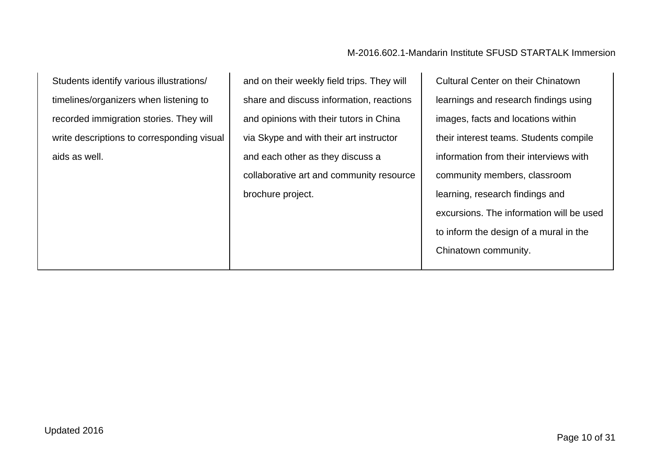Students identify various illustrations/ timelines/organizers when listening to recorded immigration stories. They will write descriptions to corresponding visual aids as well.

and on their weekly field trips. They will share and discuss information, reactions and opinions with their tutors in China via Skype and with their art instructor and each other as they discuss a collaborative art and community resource brochure project.

Cultural Center on their Chinatown learnings and research findings using images, facts and locations within their interest teams. Students compile information from their interviews with community members, classroom learning, research findings and excursions. The information will be used to inform the design of a mural in the Chinatown community.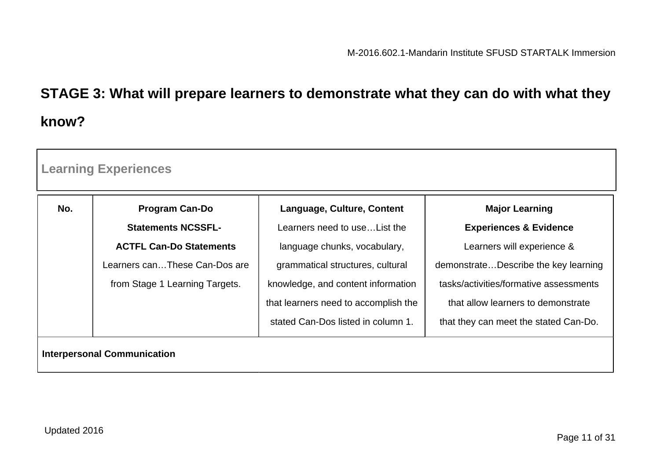# **STAGE 3: What will prepare learners to demonstrate what they can do with what they know?**

| <b>Learning Experiences</b>        |                                |                                      |                                        |
|------------------------------------|--------------------------------|--------------------------------------|----------------------------------------|
| No.                                | <b>Program Can-Do</b>          | Language, Culture, Content           | <b>Major Learning</b>                  |
|                                    | <b>Statements NCSSFL-</b>      | Learners need to use List the        | <b>Experiences &amp; Evidence</b>      |
|                                    | <b>ACTFL Can-Do Statements</b> | language chunks, vocabulary,         | Learners will experience &             |
|                                    | Learners canThese Can-Dos are  | grammatical structures, cultural     | demonstrateDescribe the key learning   |
|                                    | from Stage 1 Learning Targets. | knowledge, and content information   | tasks/activities/formative assessments |
|                                    |                                | that learners need to accomplish the | that allow learners to demonstrate     |
|                                    |                                | stated Can-Dos listed in column 1.   | that they can meet the stated Can-Do.  |
| <b>Interpersonal Communication</b> |                                |                                      |                                        |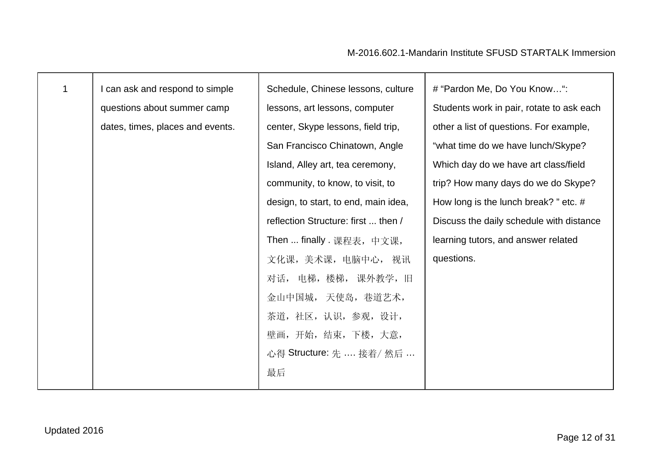| $\mathbf{1}$ | I can ask and respond to simple  | Schedule, Chinese lessons, culture   | # "Pardon Me, Do You Know":               |
|--------------|----------------------------------|--------------------------------------|-------------------------------------------|
|              | questions about summer camp      | lessons, art lessons, computer       | Students work in pair, rotate to ask each |
|              | dates, times, places and events. | center, Skype lessons, field trip,   | other a list of questions. For example,   |
|              |                                  | San Francisco Chinatown, Angle       | "what time do we have lunch/Skype?        |
|              |                                  | Island, Alley art, tea ceremony,     | Which day do we have art class/field      |
|              |                                  | community, to know, to visit, to     | trip? How many days do we do Skype?       |
|              |                                  | design, to start, to end, main idea, | How long is the lunch break? " etc. $#$   |
|              |                                  | reflection Structure: first  then /  | Discuss the daily schedule with distance  |
|              |                                  | Then  finally . 课程表, 中文课,            | learning tutors, and answer related       |
|              |                                  | 文化课, 美术课, 电脑中心, 视讯                   | questions.                                |
|              |                                  | 对话, 电梯,楼梯, 课外教学,旧                    |                                           |
|              |                                  | 金山中国城, 天使岛, 巷道艺术,                    |                                           |
|              |                                  | 茶道, 社区, 认识, 参观, 设计,                  |                                           |
|              |                                  | 壁画, 开始, 结束, 下楼, 大意,                  |                                           |
|              |                                  | 心得 Structure: 先  接着/ 然后              |                                           |
|              |                                  | 最后                                   |                                           |
|              |                                  |                                      |                                           |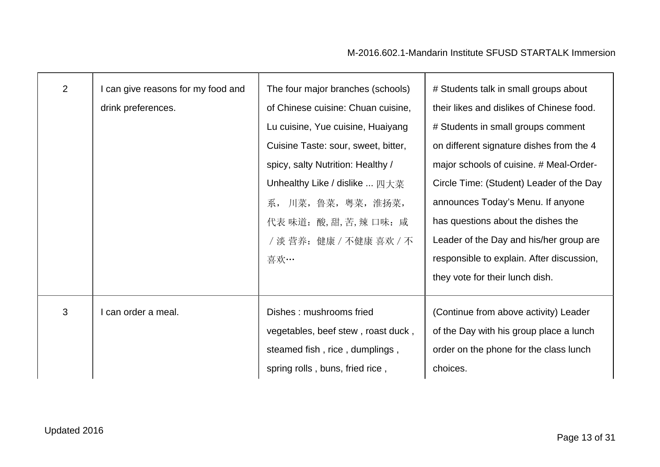| $\overline{2}$ | I can give reasons for my food and<br>drink preferences. | The four major branches (schools)<br>of Chinese cuisine: Chuan cuisine,<br>Lu cuisine, Yue cuisine, Huaiyang<br>Cuisine Taste: sour, sweet, bitter,<br>spicy, salty Nutrition: Healthy /<br>Unhealthy Like / dislike  四大菜<br>系, 川菜, 鲁菜, 粤菜, 淮扬菜,<br>代表 味道: 酸,甜,苦,辣 口味: 咸<br>/ 淡 营养: 健康 / 不健康 喜欢 / 不<br>喜欢… | # Students talk in small groups about<br>their likes and dislikes of Chinese food.<br># Students in small groups comment<br>on different signature dishes from the 4<br>major schools of cuisine. # Meal-Order-<br>Circle Time: (Student) Leader of the Day<br>announces Today's Menu. If anyone<br>has questions about the dishes the<br>Leader of the Day and his/her group are<br>responsible to explain. After discussion,<br>they vote for their lunch dish. |
|----------------|----------------------------------------------------------|------------------------------------------------------------------------------------------------------------------------------------------------------------------------------------------------------------------------------------------------------------------------------------------------------------|-------------------------------------------------------------------------------------------------------------------------------------------------------------------------------------------------------------------------------------------------------------------------------------------------------------------------------------------------------------------------------------------------------------------------------------------------------------------|
| 3              | can order a meal.                                        | Dishes: mushrooms fried<br>vegetables, beef stew, roast duck,<br>steamed fish, rice, dumplings,<br>spring rolls, buns, fried rice,                                                                                                                                                                         | (Continue from above activity) Leader<br>of the Day with his group place a lunch<br>order on the phone for the class lunch<br>choices.                                                                                                                                                                                                                                                                                                                            |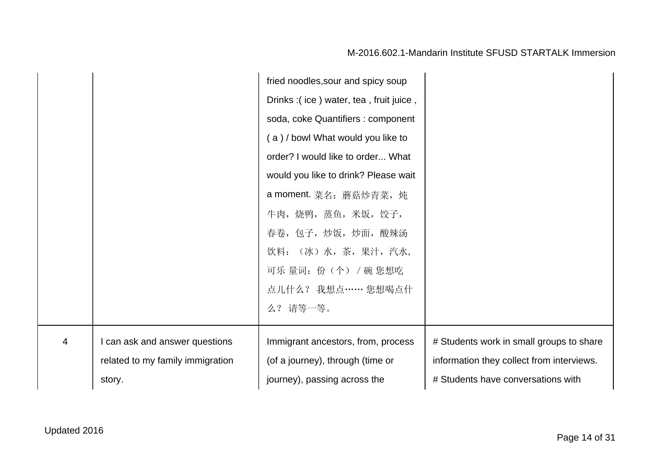|   |                                  | fried noodles, sour and spicy soup     |                                           |
|---|----------------------------------|----------------------------------------|-------------------------------------------|
|   |                                  | Drinks: (ice) water, tea, fruit juice, |                                           |
|   |                                  | soda, coke Quantifiers : component     |                                           |
|   |                                  | (a)/bowl What would you like to        |                                           |
|   |                                  | order? I would like to order What      |                                           |
|   |                                  | would you like to drink? Please wait   |                                           |
|   |                                  | a moment. 菜名: 蘑菇炒青菜, 炖                 |                                           |
|   |                                  | 牛肉, 烧鸭, 蒸鱼, 米饭, 饺子,                    |                                           |
|   |                                  | 春卷,包子,炒饭,炒面,酸辣汤                        |                                           |
|   |                                  | 饮料: (冰)水,茶,果汁,汽水,                      |                                           |
|   |                                  | 可乐量词: 份(个) / 碗 您想吃                     |                                           |
|   |                                  | 点儿什么? 我想点…… 您想喝点什                      |                                           |
|   |                                  | 么? 请等一等。                               |                                           |
|   |                                  |                                        |                                           |
| 4 | I can ask and answer questions   | Immigrant ancestors, from, process     | # Students work in small groups to share  |
|   | related to my family immigration | (of a journey), through (time or       | information they collect from interviews. |
|   | story.                           | journey), passing across the           | # Students have conversations with        |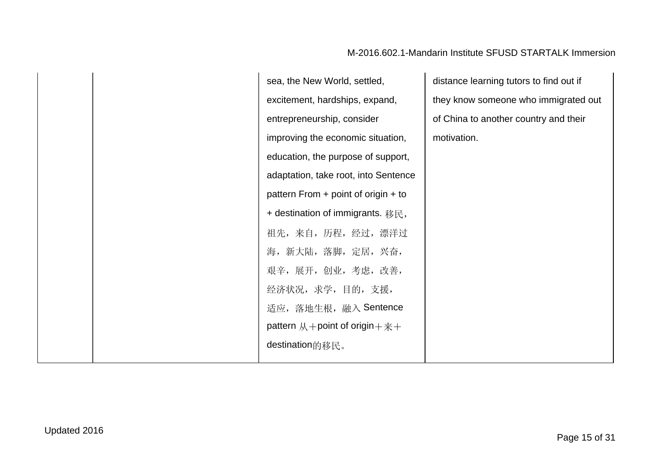sea, the New World, settled, excitement, hardships, expand, entrepreneurship, consider improving the economic situation, education, the purpose of support, adaptation, take root, into Sentence pattern From + point of origin + to + destination of immigrants. 移民, 祖先,来自,历程,经过,漂洋过 海,新大陆,落脚,定居,兴奋, 艰辛,展开,创业,考虑,改善, 经济状况,求学,目的,支援, 适应,落地生根,融入 Sentence pattern  $M$ +point of origin+ $\ddot{x}$ + destination的移民。

distance learning tutors to find out if they know someone who immigrated out of China to another country and their motivation.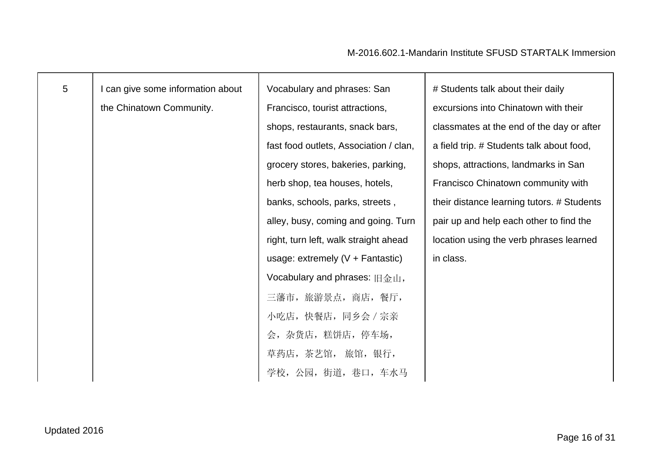| $5\phantom{.0}$ | I can give some information about | Vocabulary and phrases: San            | # Students talk about their daily          |
|-----------------|-----------------------------------|----------------------------------------|--------------------------------------------|
|                 | the Chinatown Community.          | Francisco, tourist attractions,        | excursions into Chinatown with their       |
|                 |                                   | shops, restaurants, snack bars,        | classmates at the end of the day or after  |
|                 |                                   | fast food outlets, Association / clan, | a field trip. # Students talk about food,  |
|                 |                                   | grocery stores, bakeries, parking,     | shops, attractions, landmarks in San       |
|                 |                                   | herb shop, tea houses, hotels,         | Francisco Chinatown community with         |
|                 |                                   | banks, schools, parks, streets,        | their distance learning tutors. # Students |
|                 |                                   | alley, busy, coming and going. Turn    | pair up and help each other to find the    |
|                 |                                   | right, turn left, walk straight ahead  | location using the verb phrases learned    |
|                 |                                   | usage: extremely $(V +$ Fantastic)     | in class.                                  |
|                 |                                   | Vocabulary and phrases: 旧金山,           |                                            |
|                 |                                   | 三藩市, 旅游景点, 商店, 餐厅,                     |                                            |
|                 |                                   | 小吃店,快餐店,同乡会 / 宗亲                       |                                            |
|                 |                                   | 会, 杂货店, 糕饼店, 停车场,                      |                                            |
|                 |                                   | 草药店,茶艺馆, 旅馆,银行,                        |                                            |
|                 |                                   | 学校, 公园, 街道, 巷口, 车水马                    |                                            |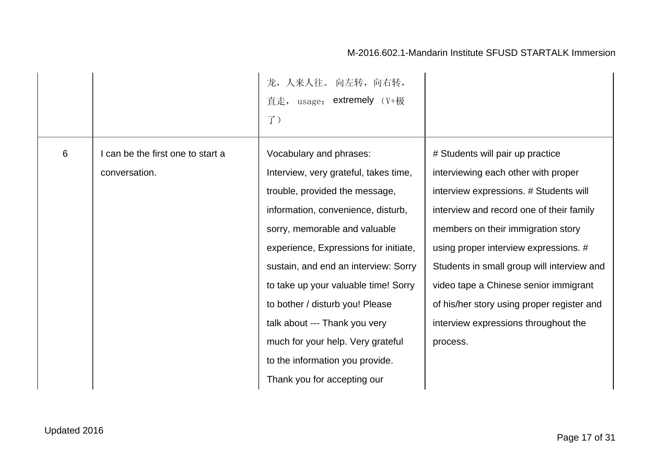|                |                                 | 龙, 人来人往。 向左转, 向右转,<br>$_{\text{usage:}}$ extremely $(\text{V+H}\xi)$<br>直走,<br>$J$ ) |                                            |
|----------------|---------------------------------|--------------------------------------------------------------------------------------|--------------------------------------------|
| $6\phantom{1}$ | can be the first one to start a | Vocabulary and phrases:                                                              | # Students will pair up practice           |
|                | conversation.                   | Interview, very grateful, takes time,                                                | interviewing each other with proper        |
|                |                                 | trouble, provided the message,                                                       | interview expressions. # Students will     |
|                |                                 | information, convenience, disturb,                                                   | interview and record one of their family   |
|                |                                 | sorry, memorable and valuable                                                        | members on their immigration story         |
|                |                                 | experience, Expressions for initiate,                                                | using proper interview expressions. #      |
|                |                                 | sustain, and end an interview: Sorry                                                 | Students in small group will interview and |
|                |                                 | to take up your valuable time! Sorry                                                 | video tape a Chinese senior immigrant      |
|                |                                 | to bother / disturb you! Please                                                      | of his/her story using proper register and |
|                |                                 | talk about --- Thank you very                                                        | interview expressions throughout the       |
|                |                                 | much for your help. Very grateful                                                    | process.                                   |
|                |                                 | to the information you provide.                                                      |                                            |
|                |                                 | Thank you for accepting our                                                          |                                            |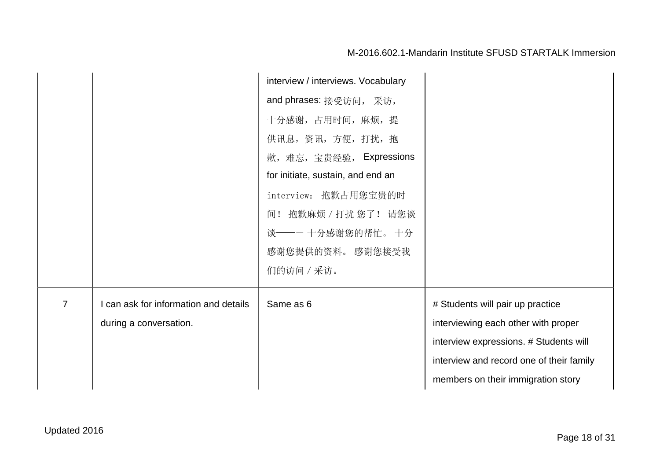|                |                                       | interview / interviews. Vocabulary |                                          |
|----------------|---------------------------------------|------------------------------------|------------------------------------------|
|                |                                       | and phrases: 接受访问, 采访,             |                                          |
|                |                                       | 十分感谢, 占用时间, 麻烦, 提                  |                                          |
|                |                                       | 供讯息, 资讯, 方便, 打扰, 抱                 |                                          |
|                |                                       | 歉,难忘,宝贵经验, Expressions             |                                          |
|                |                                       | for initiate, sustain, and end an  |                                          |
|                |                                       | interview: 抱歉占用您宝贵的时               |                                          |
|                |                                       | 间! 抱歉麻烦 / 打扰 您了! 请您谈               |                                          |
|                |                                       | 谈——一十分感谢您的帮忙。十分                    |                                          |
|                |                                       | 感谢您提供的资料。 感谢您接受我                   |                                          |
|                |                                       | 们的访问 / 采访。                         |                                          |
|                |                                       |                                    |                                          |
| $\overline{7}$ | I can ask for information and details | Same as 6                          | # Students will pair up practice         |
|                | during a conversation.                |                                    | interviewing each other with proper      |
|                |                                       |                                    | interview expressions. # Students will   |
|                |                                       |                                    | interview and record one of their family |
|                |                                       |                                    | members on their immigration story       |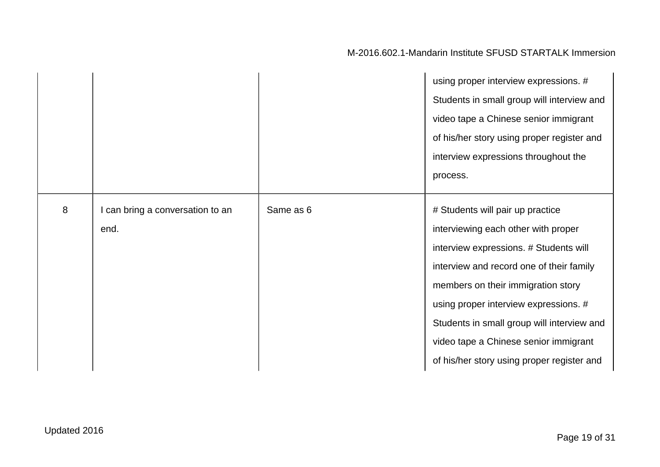|   |                                        |           | using proper interview expressions. #<br>Students in small group will interview and<br>video tape a Chinese senior immigrant<br>of his/her story using proper register and<br>interview expressions throughout the<br>process.                                                                                                                                                    |
|---|----------------------------------------|-----------|-----------------------------------------------------------------------------------------------------------------------------------------------------------------------------------------------------------------------------------------------------------------------------------------------------------------------------------------------------------------------------------|
| 8 | can bring a conversation to an<br>end. | Same as 6 | # Students will pair up practice<br>interviewing each other with proper<br>interview expressions. # Students will<br>interview and record one of their family<br>members on their immigration story<br>using proper interview expressions. #<br>Students in small group will interview and<br>video tape a Chinese senior immigrant<br>of his/her story using proper register and |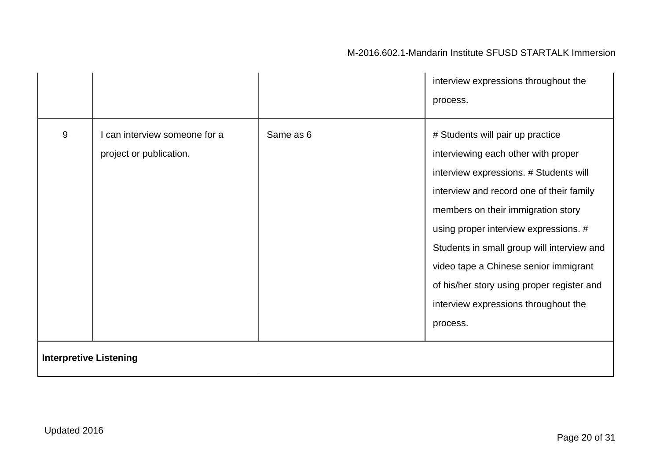|                               |                                                        |           | interview expressions throughout the<br>process.                                                                                                                                                                                                                                                                                                                                                                                      |
|-------------------------------|--------------------------------------------------------|-----------|---------------------------------------------------------------------------------------------------------------------------------------------------------------------------------------------------------------------------------------------------------------------------------------------------------------------------------------------------------------------------------------------------------------------------------------|
| 9                             | can interview someone for a<br>project or publication. | Same as 6 | # Students will pair up practice<br>interviewing each other with proper<br>interview expressions. # Students will<br>interview and record one of their family<br>members on their immigration story<br>using proper interview expressions. #<br>Students in small group will interview and<br>video tape a Chinese senior immigrant<br>of his/her story using proper register and<br>interview expressions throughout the<br>process. |
| <b>Interpretive Listening</b> |                                                        |           |                                                                                                                                                                                                                                                                                                                                                                                                                                       |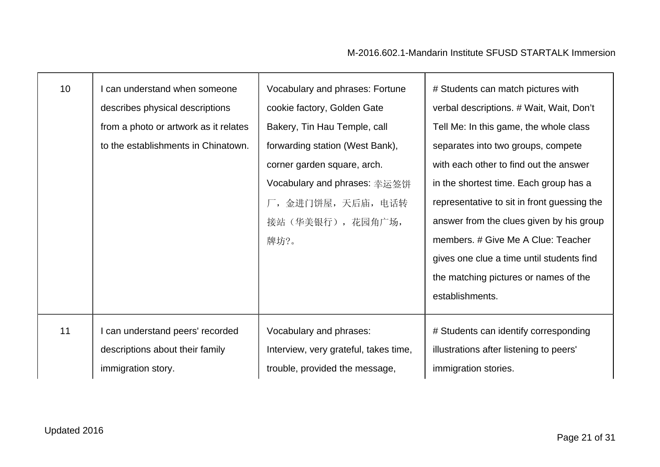| 10 <sup>°</sup> | can understand when someone<br>describes physical descriptions<br>from a photo or artwork as it relates<br>to the establishments in Chinatown. | Vocabulary and phrases: Fortune<br>cookie factory, Golden Gate<br>Bakery, Tin Hau Temple, call<br>forwarding station (West Bank),<br>corner garden square, arch.<br>Vocabulary and phrases: 幸运签饼<br>厂, 金进门饼屋, 天后庙, 电话转<br>接站 (华美银行), 花园角广场,<br>牌坊?。 | # Students can match pictures with<br>verbal descriptions. # Wait, Wait, Don't<br>Tell Me: In this game, the whole class<br>separates into two groups, compete<br>with each other to find out the answer<br>in the shortest time. Each group has a<br>representative to sit in front guessing the<br>answer from the clues given by his group<br>members. # Give Me A Clue: Teacher<br>gives one clue a time until students find<br>the matching pictures or names of the<br>establishments. |
|-----------------|------------------------------------------------------------------------------------------------------------------------------------------------|-----------------------------------------------------------------------------------------------------------------------------------------------------------------------------------------------------------------------------------------------------|----------------------------------------------------------------------------------------------------------------------------------------------------------------------------------------------------------------------------------------------------------------------------------------------------------------------------------------------------------------------------------------------------------------------------------------------------------------------------------------------|
| 11              | can understand peers' recorded                                                                                                                 | Vocabulary and phrases:                                                                                                                                                                                                                             | # Students can identify corresponding                                                                                                                                                                                                                                                                                                                                                                                                                                                        |
|                 | descriptions about their family                                                                                                                | Interview, very grateful, takes time,                                                                                                                                                                                                               | illustrations after listening to peers'                                                                                                                                                                                                                                                                                                                                                                                                                                                      |
|                 | immigration story.                                                                                                                             | trouble, provided the message,                                                                                                                                                                                                                      | immigration stories.                                                                                                                                                                                                                                                                                                                                                                                                                                                                         |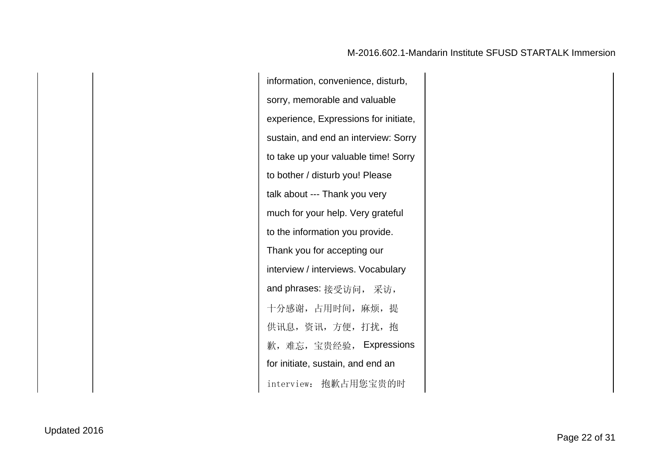information, convenience, disturb, sorry, memorable and valuable experience, Expressions for initiate, sustain, and end an interview: Sorry to take up your valuable time! Sorry to bother / disturb you! Please talk about --- Thank you very much for your help. Very grateful to the information you provide. Thank you for accepting our interview / interviews. Vocabulary and phrases: 接受访问, 采访, 十分感谢,占用时间,麻烦,提 供讯息,资讯,方便,打扰,抱 歉,难忘,宝贵经验, Expressions for initiate, sustain, and end an interview: 抱歉占用您宝贵的时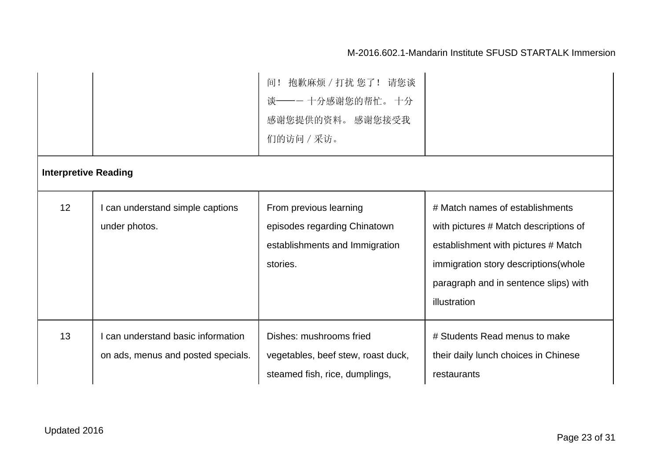|                             |                                                                        | 抱歉麻烦 / 打扰 您了! 请您谈<br>间!<br>谈——一十分感谢您的帮忙。十分<br>感谢您提供的资料。 感谢您接受我<br>们的访问 / 采访。                         |                                                                                                                                                                                                                   |
|-----------------------------|------------------------------------------------------------------------|------------------------------------------------------------------------------------------------------|-------------------------------------------------------------------------------------------------------------------------------------------------------------------------------------------------------------------|
| <b>Interpretive Reading</b> |                                                                        |                                                                                                      |                                                                                                                                                                                                                   |
| 12                          | can understand simple captions<br>under photos.                        | From previous learning<br>episodes regarding Chinatown<br>establishments and Immigration<br>stories. | # Match names of establishments<br>with pictures # Match descriptions of<br>establishment with pictures # Match<br>immigration story descriptions (whole<br>paragraph and in sentence slips) with<br>illustration |
| 13                          | can understand basic information<br>on ads, menus and posted specials. | Dishes: mushrooms fried<br>vegetables, beef stew, roast duck,<br>steamed fish, rice, dumplings,      | # Students Read menus to make<br>their daily lunch choices in Chinese<br>restaurants                                                                                                                              |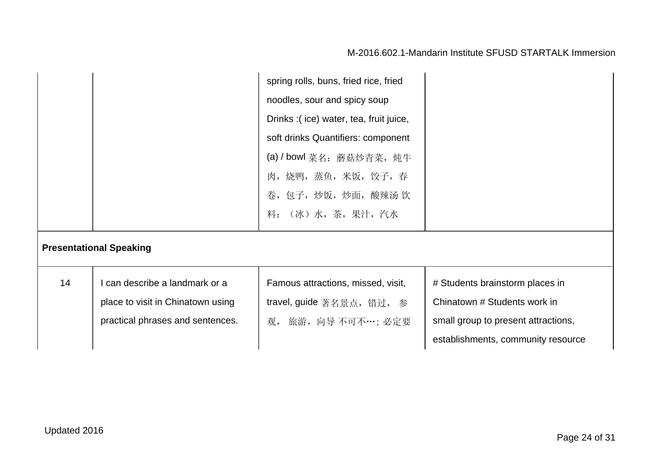|    |                                                                                                         | spring rolls, buns, fried rice, fried<br>noodles, sour and spicy soup<br>Drinks: (ice) water, tea, fruit juice,<br>soft drinks Quantifiers: component<br>(a) / bowl 菜名: 蘑菇炒青菜, 炖牛<br>肉, 烧鸭, 蒸鱼, 米饭, 饺子, 春<br>卷,包子,炒饭,炒面,酸辣汤 饮<br>料: (冰)水,茶,果汁,汽水 |                                                                                                                                              |
|----|---------------------------------------------------------------------------------------------------------|--------------------------------------------------------------------------------------------------------------------------------------------------------------------------------------------------------------------------------------------------|----------------------------------------------------------------------------------------------------------------------------------------------|
|    | <b>Presentational Speaking</b>                                                                          |                                                                                                                                                                                                                                                  |                                                                                                                                              |
| 14 | l can describe a landmark or a<br>place to visit in Chinatown using<br>practical phrases and sentences. | Famous attractions, missed, visit,<br>travel, guide 著名景点, 错过, 参<br>观, 旅游, 向导 不可不…; 必定要                                                                                                                                                           | # Students brainstorm places in<br>Chinatown # Students work in<br>small group to present attractions,<br>establishments, community resource |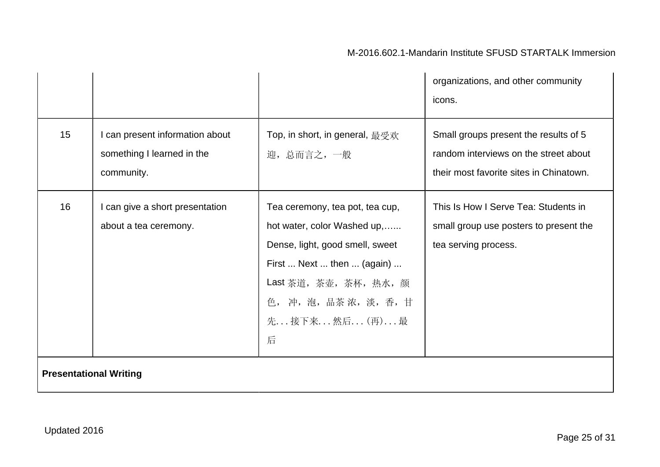|                               |                                                                             |                                                                                                                                                                                                           | organizations, and other community<br>icons.                                                                              |
|-------------------------------|-----------------------------------------------------------------------------|-----------------------------------------------------------------------------------------------------------------------------------------------------------------------------------------------------------|---------------------------------------------------------------------------------------------------------------------------|
| 15                            | I can present information about<br>something I learned in the<br>community. | Top, in short, in general, 最受欢<br>迎,总而言之,一般                                                                                                                                                               | Small groups present the results of 5<br>random interviews on the street about<br>their most favorite sites in Chinatown. |
| 16                            | I can give a short presentation<br>about a tea ceremony.                    | Tea ceremony, tea pot, tea cup,<br>hot water, color Washed up,<br>Dense, light, good smell, sweet<br>First  Next  then  (again)<br>Last 茶道, 茶壶, 茶杯, 热水, 颜<br>色, 冲, 泡, 品茶浓, 淡, 香, 甘<br>先 接下来 然后 (再) 最<br>后 | This Is How I Serve Tea: Students in<br>small group use posters to present the<br>tea serving process.                    |
| <b>Presentational Writing</b> |                                                                             |                                                                                                                                                                                                           |                                                                                                                           |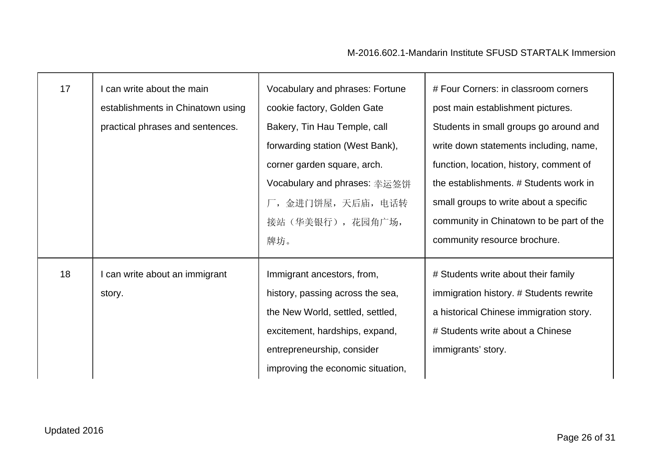| 17 | can write about the main<br>establishments in Chinatown using<br>practical phrases and sentences. | Vocabulary and phrases: Fortune<br>cookie factory, Golden Gate<br>Bakery, Tin Hau Temple, call<br>forwarding station (West Bank),<br>corner garden square, arch.<br>Vocabulary and phrases: 幸运签饼<br>厂,金进门饼屋,天后庙,电话转<br>接站(华美银行), 花园角广场,<br>牌坊。 | # Four Corners: in classroom corners<br>post main establishment pictures.<br>Students in small groups go around and<br>write down statements including, name,<br>function, location, history, comment of<br>the establishments. # Students work in<br>small groups to write about a specific<br>community in Chinatown to be part of the<br>community resource brochure. |
|----|---------------------------------------------------------------------------------------------------|------------------------------------------------------------------------------------------------------------------------------------------------------------------------------------------------------------------------------------------------|--------------------------------------------------------------------------------------------------------------------------------------------------------------------------------------------------------------------------------------------------------------------------------------------------------------------------------------------------------------------------|
| 18 | I can write about an immigrant<br>story.                                                          | Immigrant ancestors, from,<br>history, passing across the sea,<br>the New World, settled, settled,<br>excitement, hardships, expand,<br>entrepreneurship, consider<br>improving the economic situation,                                        | # Students write about their family<br>immigration history. # Students rewrite<br>a historical Chinese immigration story.<br># Students write about a Chinese<br>immigrants' story.                                                                                                                                                                                      |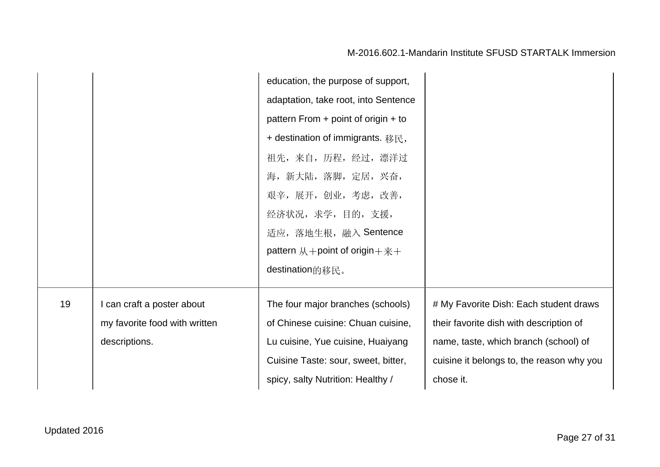|    |                                                                              | education, the purpose of support,<br>adaptation, take root, into Sentence<br>pattern From + point of origin + to<br>+ destination of immigrants. 移民,<br>祖先,来自,历程,经过,漂洋过<br>海, 新大陆, 落脚, 定居, 兴奋,<br>艰辛,展开,创业,考虑,改善,<br>经济状况, 求学, 目的, 支援,<br>适应, 落地生根, 融入 Sentence<br>pattern $M +$ point of origin $+ \frac{m}{N} +$<br>destination的移民。 |                                                                                                                                                                                      |
|----|------------------------------------------------------------------------------|----------------------------------------------------------------------------------------------------------------------------------------------------------------------------------------------------------------------------------------------------------------------------------------------------------------------------------------|--------------------------------------------------------------------------------------------------------------------------------------------------------------------------------------|
| 19 | I can craft a poster about<br>my favorite food with written<br>descriptions. | The four major branches (schools)<br>of Chinese cuisine: Chuan cuisine,<br>Lu cuisine, Yue cuisine, Huaiyang<br>Cuisine Taste: sour, sweet, bitter,<br>spicy, salty Nutrition: Healthy /                                                                                                                                               | # My Favorite Dish: Each student draws<br>their favorite dish with description of<br>name, taste, which branch (school) of<br>cuisine it belongs to, the reason why you<br>chose it. |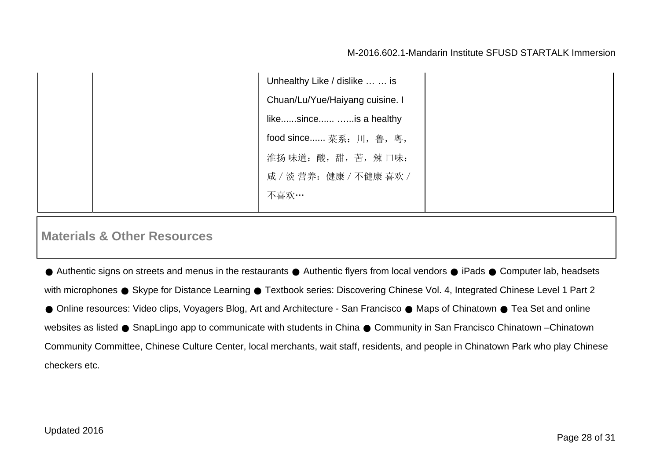Unhealthy Like / dislike … … is Chuan/Lu/Yue/Haiyang cuisine. I like......since...... …...is a healthy food since...... 菜系:川,鲁,粤, 淮扬味道:酸,甜,苦,辣口味: 咸/淡 营养:健康/不健康 喜欢/ 不喜欢…

# **Materials & Other Resources**

● Authentic signs on streets and menus in the restaurants ● Authentic flyers from local vendors ● iPads ● Computer lab, headsets with microphones • Skype for Distance Learning • Textbook series: Discovering Chinese Vol. 4, Integrated Chinese Level 1 Part 2 ● Online resources: Video clips, Voyagers Blog, Art and Architecture - San Francisco ● Maps of Chinatown ● Tea Set and online websites as listed ● SnapLingo app to communicate with students in China ● Community in San Francisco Chinatown –Chinatown Community Committee, Chinese Culture Center, local merchants, wait staff, residents, and people in Chinatown Park who play Chinese checkers etc.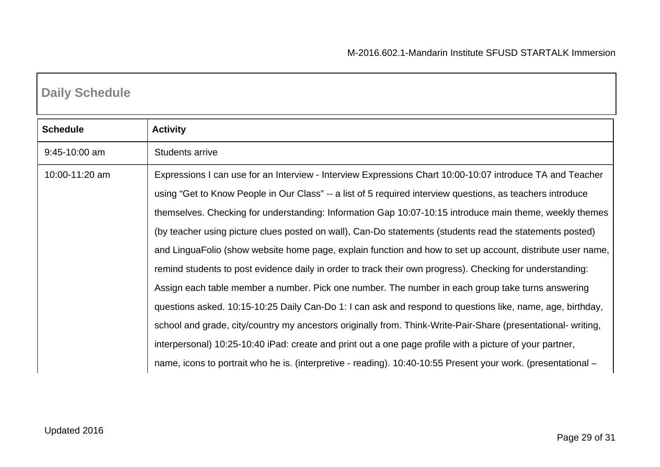# **Daily Schedule**

| <b>Schedule</b> | <b>Activity</b>                                                                                               |
|-----------------|---------------------------------------------------------------------------------------------------------------|
| $9:45-10:00$ am | <b>Students arrive</b>                                                                                        |
| 10:00-11:20 am  | Expressions I can use for an Interview - Interview Expressions Chart 10:00-10:07 introduce TA and Teacher     |
|                 | using "Get to Know People in Our Class" -- a list of 5 required interview questions, as teachers introduce    |
|                 | themselves. Checking for understanding: Information Gap 10:07-10:15 introduce main theme, weekly themes       |
|                 | (by teacher using picture clues posted on wall), Can-Do statements (students read the statements posted)      |
|                 | and LinguaFolio (show website home page, explain function and how to set up account, distribute user name,    |
|                 | remind students to post evidence daily in order to track their own progress). Checking for understanding:     |
|                 | Assign each table member a number. Pick one number. The number in each group take turns answering             |
|                 | questions asked. 10:15-10:25 Daily Can-Do 1: I can ask and respond to questions like, name, age, birthday,    |
|                 | school and grade, city/country my ancestors originally from. Think-Write-Pair-Share (presentational- writing, |
|                 | interpersonal) 10:25-10:40 iPad: create and print out a one page profile with a picture of your partner,      |
|                 | name, icons to portrait who he is. (interpretive - reading). 10:40-10:55 Present your work. (presentational – |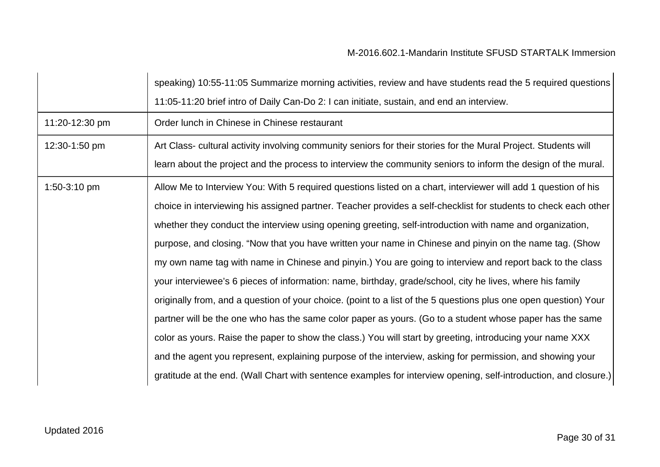|                | speaking) 10:55-11:05 Summarize morning activities, review and have students read the 5 required questions       |
|----------------|------------------------------------------------------------------------------------------------------------------|
|                | 11:05-11:20 brief intro of Daily Can-Do 2: I can initiate, sustain, and end an interview.                        |
| 11:20-12:30 pm | Order lunch in Chinese in Chinese restaurant                                                                     |
| 12:30-1:50 pm  | Art Class- cultural activity involving community seniors for their stories for the Mural Project. Students will  |
|                | learn about the project and the process to interview the community seniors to inform the design of the mural.    |
| 1:50-3:10 pm   | Allow Me to Interview You: With 5 required questions listed on a chart, interviewer will add 1 question of his   |
|                | choice in interviewing his assigned partner. Teacher provides a self-checklist for students to check each other  |
|                | whether they conduct the interview using opening greeting, self-introduction with name and organization,         |
|                | purpose, and closing. "Now that you have written your name in Chinese and pinyin on the name tag. (Show          |
|                | my own name tag with name in Chinese and pinyin.) You are going to interview and report back to the class        |
|                | your interviewee's 6 pieces of information: name, birthday, grade/school, city he lives, where his family        |
|                | originally from, and a question of your choice. (point to a list of the 5 questions plus one open question) Your |
|                | partner will be the one who has the same color paper as yours. (Go to a student whose paper has the same         |
|                | color as yours. Raise the paper to show the class.) You will start by greeting, introducing your name XXX        |
|                | and the agent you represent, explaining purpose of the interview, asking for permission, and showing your        |
|                | gratitude at the end. (Wall Chart with sentence examples for interview opening, self-introduction, and closure.) |